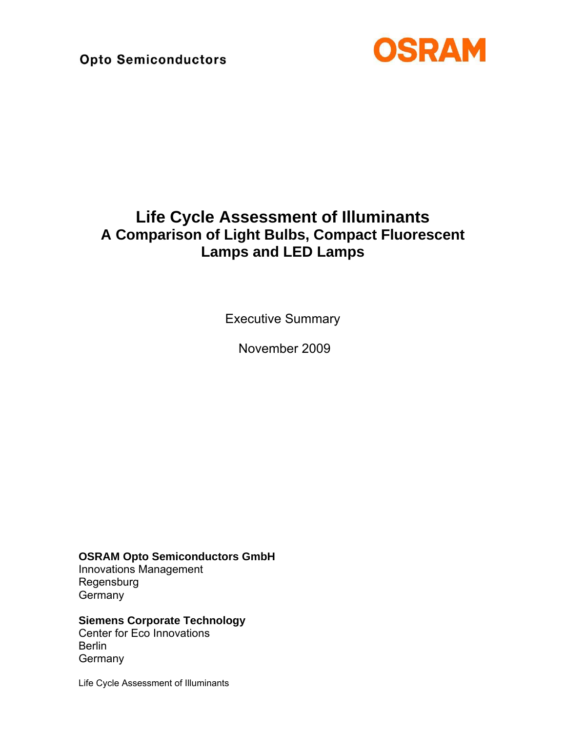

# **Life Cycle Assessment of Illuminants A Comparison of Light Bulbs, Compact Fluorescent Lamps and LED Lamps**

Executive Summary

November 2009

**OSRAM Opto Semiconductors GmbH** 

Innovations Management Regensburg **Germany** 

### **Siemens Corporate Technology**

Center for Eco Innovations **Berlin Germany** 

Life Cycle Assessment of Illuminants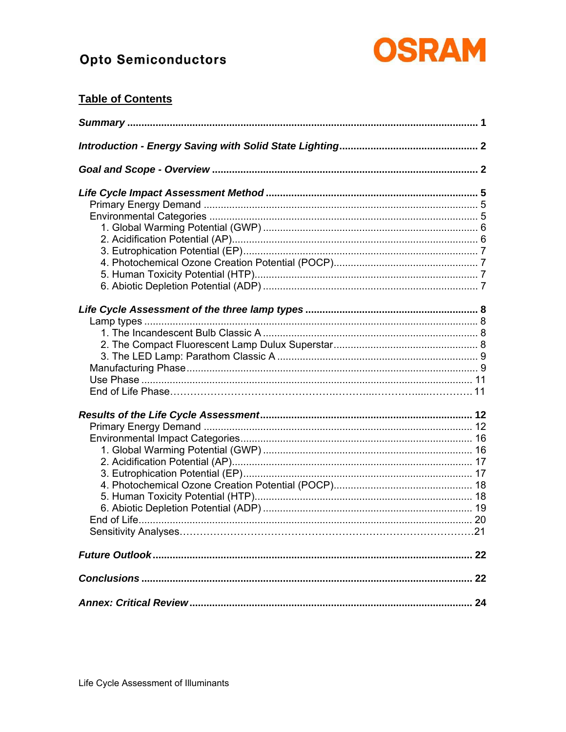

## **Table of Contents**

| <b>Sensitivity Analyses</b> |  |
|-----------------------------|--|
|                             |  |
|                             |  |
|                             |  |
|                             |  |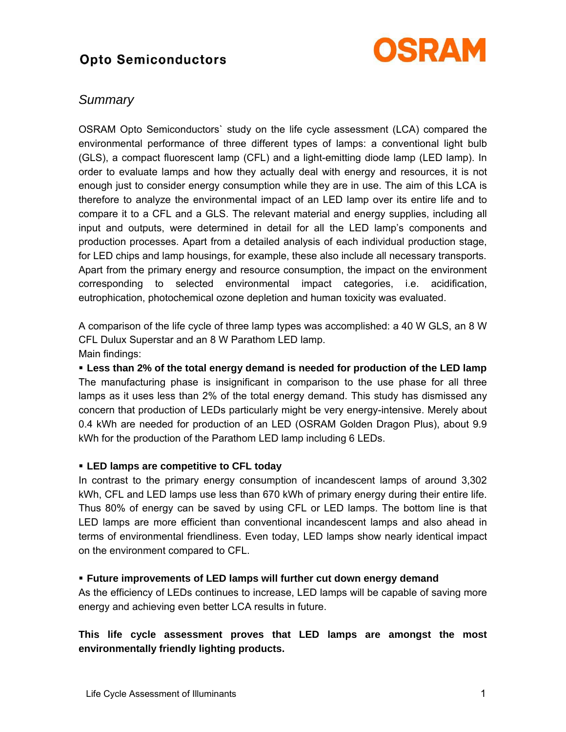

### *Summary*

OSRAM Opto Semiconductors` study on the life cycle assessment (LCA) compared the environmental performance of three different types of lamps: a conventional light bulb (GLS), a compact fluorescent lamp (CFL) and a light-emitting diode lamp (LED lamp). In order to evaluate lamps and how they actually deal with energy and resources, it is not enough just to consider energy consumption while they are in use. The aim of this LCA is therefore to analyze the environmental impact of an LED lamp over its entire life and to compare it to a CFL and a GLS. The relevant material and energy supplies, including all input and outputs, were determined in detail for all the LED lampís components and production processes. Apart from a detailed analysis of each individual production stage, for LED chips and lamp housings, for example, these also include all necessary transports. Apart from the primary energy and resource consumption, the impact on the environment corresponding to selected environmental impact categories, i.e. acidification, eutrophication, photochemical ozone depletion and human toxicity was evaluated.

A comparison of the life cycle of three lamp types was accomplished: a 40 W GLS, an 8 W CFL Dulux Superstar and an 8 W Parathom LED lamp. Main findings:

! **Less than 2% of the total energy demand is needed for production of the LED lamp**  The manufacturing phase is insignificant in comparison to the use phase for all three lamps as it uses less than 2% of the total energy demand. This study has dismissed any concern that production of LEDs particularly might be very energy-intensive. Merely about 0.4 kWh are needed for production of an LED (OSRAM Golden Dragon Plus), about 9.9 kWh for the production of the Parathom LED lamp including 6 LEDs.

### ! **LED lamps are competitive to CFL today**

In contrast to the primary energy consumption of incandescent lamps of around 3,302 kWh, CFL and LED lamps use less than 670 kWh of primary energy during their entire life. Thus 80% of energy can be saved by using CFL or LED lamps. The bottom line is that LED lamps are more efficient than conventional incandescent lamps and also ahead in terms of environmental friendliness. Even today, LED lamps show nearly identical impact on the environment compared to CFL.

### ! **Future improvements of LED lamps will further cut down energy demand**

As the efficiency of LEDs continues to increase, LED lamps will be capable of saving more energy and achieving even better LCA results in future.

### **This life cycle assessment proves that LED lamps are amongst the most environmentally friendly lighting products.**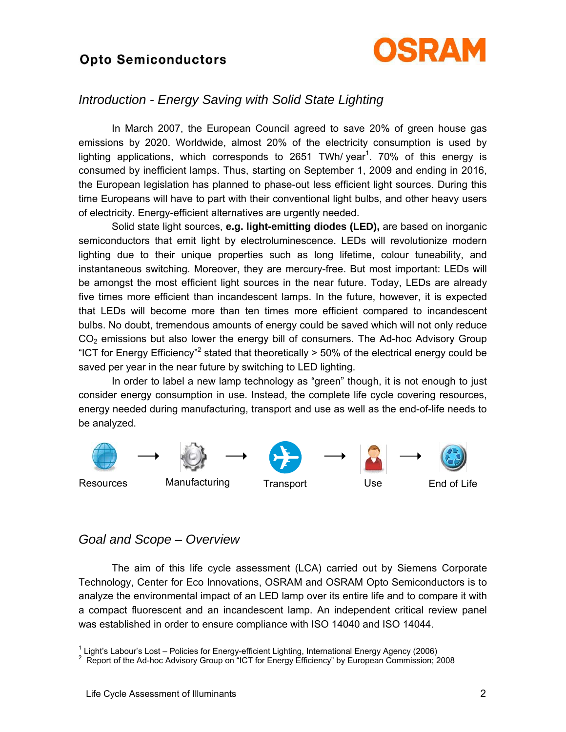

### *Introduction - Energy Saving with Solid State Lighting*

 In March 2007, the European Council agreed to save 20% of green house gas emissions by 2020. Worldwide, almost 20% of the electricity consumption is used by lighting applications, which corresponds to 2651 TWh/ year<sup>1</sup>. 70% of this energy is consumed by inefficient lamps. Thus, starting on September 1, 2009 and ending in 2016, the European legislation has planned to phase-out less efficient light sources. During this time Europeans will have to part with their conventional light bulbs, and other heavy users of electricity. Energy-efficient alternatives are urgently needed.

 Solid state light sources, **e.g. light-emitting diodes (LED),** are based on inorganic semiconductors that emit light by electroluminescence. LEDs will revolutionize modern lighting due to their unique properties such as long lifetime, colour tuneability, and instantaneous switching. Moreover, they are mercury-free. But most important: LEDs will be amongst the most efficient light sources in the near future. Today, LEDs are already five times more efficient than incandescent lamps. In the future, however, it is expected that LEDs will become more than ten times more efficient compared to incandescent bulbs. No doubt, tremendous amounts of energy could be saved which will not only reduce  $CO<sub>2</sub>$  emissions but also lower the energy bill of consumers. The Ad-hoc Advisory Group "ICT for Energy Efficiency"<sup>2</sup> stated that theoretically > 50% of the electrical energy could be saved per year in the near future by switching to LED lighting.

In order to label a new lamp technology as "green" though, it is not enough to just consider energy consumption in use. Instead, the complete life cycle covering resources, energy needed during manufacturing, transport and use as well as the end-of-life needs to be analyzed.



### *Goal and Scope – Overview*

 The aim of this life cycle assessment (LCA) carried out by Siemens Corporate Technology, Center for Eco Innovations, OSRAM and OSRAM Opto Semiconductors is to analyze the environmental impact of an LED lamp over its entire life and to compare it with a compact fluorescent and an incandescent lamp. An independent critical review panel was established in order to ensure compliance with ISO 14040 and ISO 14044.

 1 Lightís Labourís Lost ñ Policies for Energy-efficient Lighting, International Energy Agency (2006) 2 Report of the Ad-hoc Advisory Group on ìICT for Energy Efficiencyî by European Commission; 2008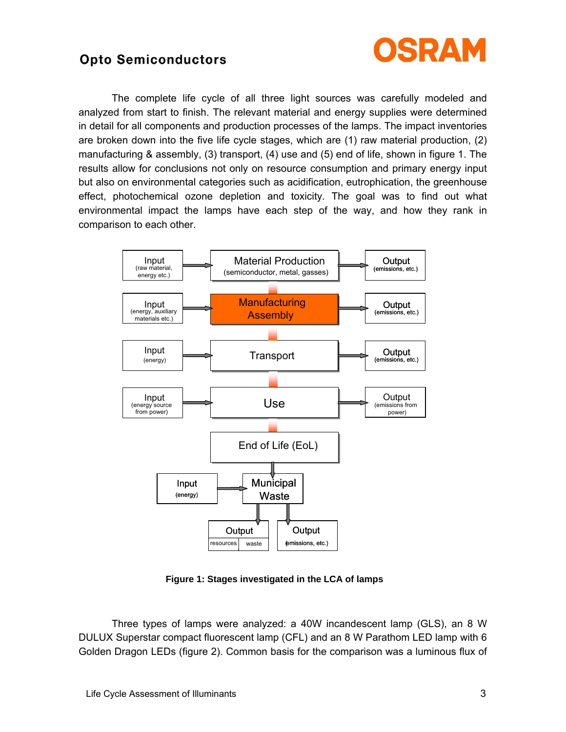

 The complete life cycle of all three light sources was carefully modeled and analyzed from start to finish. The relevant material and energy supplies were determined in detail for all components and production processes of the lamps. The impact inventories are broken down into the five life cycle stages, which are (1) raw material production, (2) manufacturing & assembly, (3) transport, (4) use and (5) end of life, shown in figure 1. The results allow for conclusions not only on resource consumption and primary energy input but also on environmental categories such as acidification, eutrophication, the greenhouse effect, photochemical ozone depletion and toxicity. The goal was to find out what environmental impact the lamps have each step of the way, and how they rank in comparison to each other.



**Figure 1: Stages investigated in the LCA of lamps** 

 Three types of lamps were analyzed: a 40W incandescent lamp (GLS), an 8 W DULUX Superstar compact fluorescent lamp (CFL) and an 8 W Parathom LED lamp with 6 Golden Dragon LEDs (figure 2). Common basis for the comparison was a luminous flux of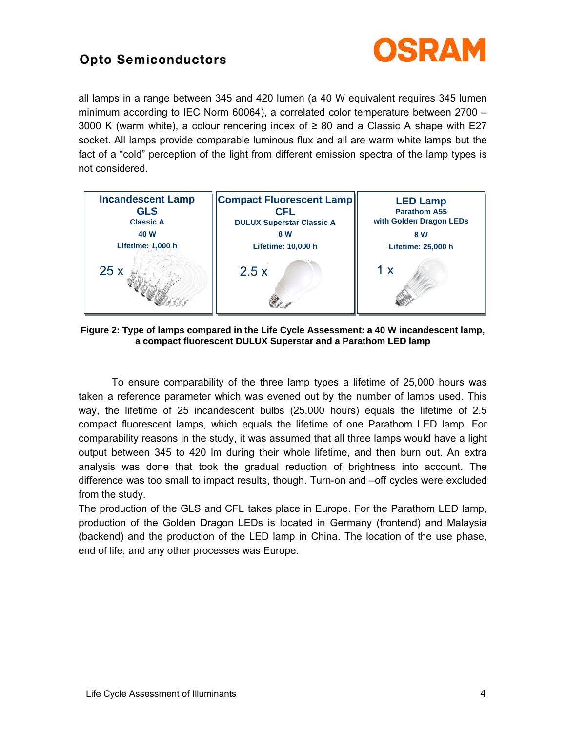

all lamps in a range between 345 and 420 lumen (a 40 W equivalent requires 345 lumen minimum according to IEC Norm 60064), a correlated color temperature between  $2700 -$ 3000 K (warm white), a colour rendering index of  $\geq 80$  and a Classic A shape with E27 socket. All lamps provide comparable luminous flux and all are warm white lamps but the fact of a "cold" perception of the light from different emission spectra of the lamp types is not considered.



**Figure 2: Type of lamps compared in the Life Cycle Assessment: a 40 W incandescent lamp, a compact fluorescent DULUX Superstar and a Parathom LED lamp** 

 To ensure comparability of the three lamp types a lifetime of 25,000 hours was taken a reference parameter which was evened out by the number of lamps used. This way, the lifetime of 25 incandescent bulbs (25,000 hours) equals the lifetime of 2.5 compact fluorescent lamps, which equals the lifetime of one Parathom LED lamp. For comparability reasons in the study, it was assumed that all three lamps would have a light output between 345 to 420 lm during their whole lifetime, and then burn out. An extra analysis was done that took the gradual reduction of brightness into account. The difference was too small to impact results, though. Turn-on and  $-$ off cycles were excluded from the study.

The production of the GLS and CFL takes place in Europe. For the Parathom LED lamp, production of the Golden Dragon LEDs is located in Germany (frontend) and Malaysia (backend) and the production of the LED lamp in China. The location of the use phase, end of life, and any other processes was Europe.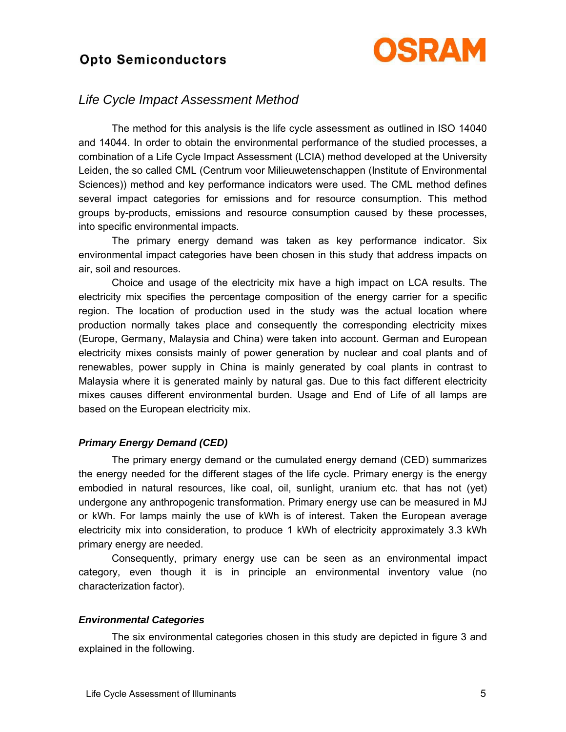

### *Life Cycle Impact Assessment Method*

 The method for this analysis is the life cycle assessment as outlined in ISO 14040 and 14044. In order to obtain the environmental performance of the studied processes, a combination of a Life Cycle Impact Assessment (LCIA) method developed at the University Leiden, the so called CML (Centrum voor Milieuwetenschappen (Institute of Environmental Sciences)) method and key performance indicators were used. The CML method defines several impact categories for emissions and for resource consumption. This method groups by-products, emissions and resource consumption caused by these processes, into specific environmental impacts.

 The primary energy demand was taken as key performance indicator. Six environmental impact categories have been chosen in this study that address impacts on air, soil and resources.

 Choice and usage of the electricity mix have a high impact on LCA results. The electricity mix specifies the percentage composition of the energy carrier for a specific region. The location of production used in the study was the actual location where production normally takes place and consequently the corresponding electricity mixes (Europe, Germany, Malaysia and China) were taken into account. German and European electricity mixes consists mainly of power generation by nuclear and coal plants and of renewables, power supply in China is mainly generated by coal plants in contrast to Malaysia where it is generated mainly by natural gas. Due to this fact different electricity mixes causes different environmental burden. Usage and End of Life of all lamps are based on the European electricity mix.

### *Primary Energy Demand (CED)*

 The primary energy demand or the cumulated energy demand (CED) summarizes the energy needed for the different stages of the life cycle. Primary energy is the energy embodied in natural resources, like coal, oil, sunlight, uranium etc. that has not (yet) undergone any anthropogenic transformation. Primary energy use can be measured in MJ or kWh. For lamps mainly the use of kWh is of interest. Taken the European average electricity mix into consideration, to produce 1 kWh of electricity approximately 3.3 kWh primary energy are needed.

 Consequently, primary energy use can be seen as an environmental impact category, even though it is in principle an environmental inventory value (no characterization factor).

### *Environmental Categories*

 The six environmental categories chosen in this study are depicted in figure 3 and explained in the following.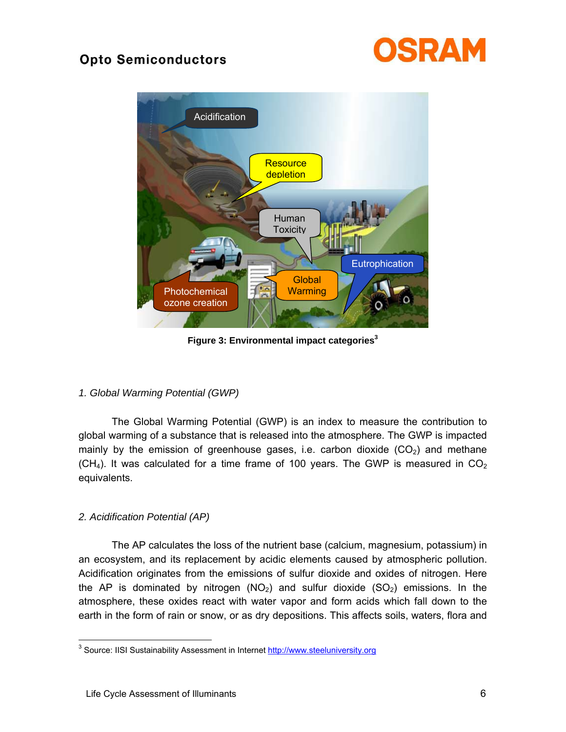



**Figure 3: Environmental impact categories<sup>3</sup>**

### *1. Global Warming Potential (GWP)*

 The Global Warming Potential (GWP) is an index to measure the contribution to global warming of a substance that is released into the atmosphere. The GWP is impacted mainly by the emission of greenhouse gases, i.e. carbon dioxide  $(CO<sub>2</sub>)$  and methane  $(CH<sub>4</sub>)$ . It was calculated for a time frame of 100 years. The GWP is measured in  $CO<sub>2</sub>$ equivalents.

### *2. Acidification Potential (AP)*

 The AP calculates the loss of the nutrient base (calcium, magnesium, potassium) in an ecosystem, and its replacement by acidic elements caused by atmospheric pollution. Acidification originates from the emissions of sulfur dioxide and oxides of nitrogen. Here the AP is dominated by nitrogen  $(NO<sub>2</sub>)$  and sulfur dioxide  $(SO<sub>2</sub>)$  emissions. In the atmosphere, these oxides react with water vapor and form acids which fall down to the earth in the form of rain or snow, or as dry depositions. This affects soils, waters, flora and

 3 Source: IISI Sustainability Assessment in Internet http://www.steeluniversity.org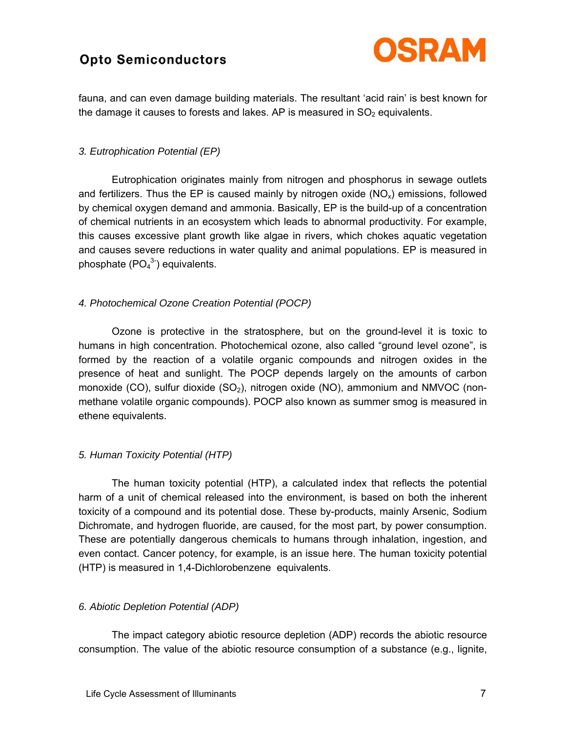

fauna, and can even damage building materials. The resultant 'acid rain' is best known for the damage it causes to forests and lakes. AP is measured in  $SO<sub>2</sub>$  equivalents.

#### *3. Eutrophication Potential (EP)*

 Eutrophication originates mainly from nitrogen and phosphorus in sewage outlets and fertilizers. Thus the EP is caused mainly by nitrogen oxide  $(NO<sub>x</sub>)$  emissions, followed by chemical oxygen demand and ammonia. Basically, EP is the build-up of a concentration of chemical nutrients in an ecosystem which leads to abnormal productivity. For example, this causes excessive plant growth like algae in rivers, which chokes aquatic vegetation and causes severe reductions in water quality and animal populations. EP is measured in phosphate  $(PO<sub>4</sub><sup>3-</sup>)$  equivalents.

### *4. Photochemical Ozone Creation Potential (POCP)*

 Ozone is protective in the stratosphere, but on the ground-level it is toxic to humans in high concentration. Photochemical ozone, also called "ground level ozone", is formed by the reaction of a volatile organic compounds and nitrogen oxides in the presence of heat and sunlight. The POCP depends largely on the amounts of carbon monoxide (CO), sulfur dioxide (SO<sub>2</sub>), nitrogen oxide (NO), ammonium and NMVOC (nonmethane volatile organic compounds). POCP also known as summer smog is measured in ethene equivalents.

### *5. Human Toxicity Potential (HTP)*

 The human toxicity potential (HTP), a calculated index that reflects the potential harm of a unit of chemical released into the environment, is based on both the inherent toxicity of a compound and its potential dose. These by-products, mainly Arsenic, Sodium Dichromate, and hydrogen fluoride, are caused, for the most part, by power consumption. These are potentially dangerous chemicals to humans through inhalation, ingestion, and even contact. Cancer potency, for example, is an issue here. The human toxicity potential (HTP) is measured in 1,4-Dichlorobenzene equivalents.

### *6. Abiotic Depletion Potential (ADP)*

 The impact category abiotic resource depletion (ADP) records the abiotic resource consumption. The value of the abiotic resource consumption of a substance (e.g., lignite,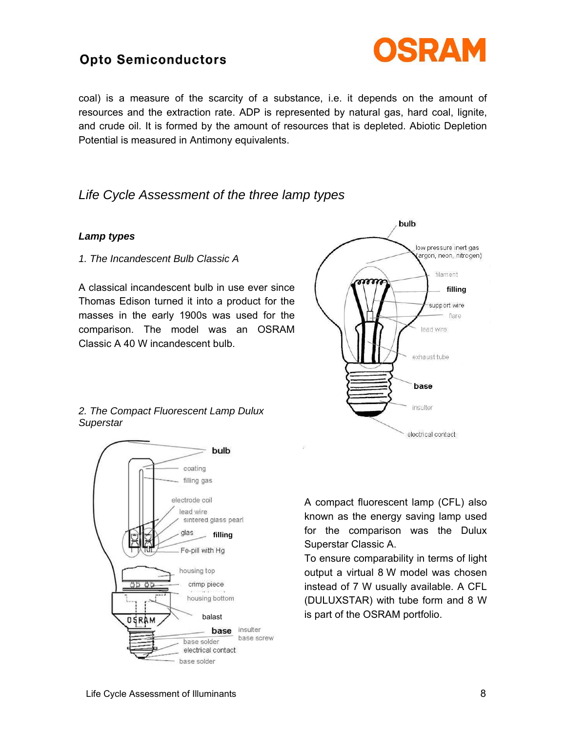

coal) is a measure of the scarcity of a substance, i.e. it depends on the amount of resources and the extraction rate. ADP is represented by natural gas, hard coal, lignite, and crude oil. It is formed by the amount of resources that is depleted. Abiotic Depletion Potential is measured in Antimony equivalents.

### *Life Cycle Assessment of the three lamp types*

### *Lamp types*

*1. The Incandescent Bulb Classic A* 

A classical incandescent bulb in use ever since Thomas Edison turned it into a product for the masses in the early 1900s was used for the comparison. The model was an OSRAM Classic A 40 W incandescent bulb.



*2. The Compact Fluorescent Lamp Dulux Superstar* 



A compact fluorescent lamp (CFL) also known as the energy saving lamp used for the comparison was the Dulux Superstar Classic A.

To ensure comparability in terms of light output a virtual 8 W model was chosen instead of 7 W usually available. A CFL (DULUXSTAR) with tube form and 8 W is part of the OSRAM portfolio.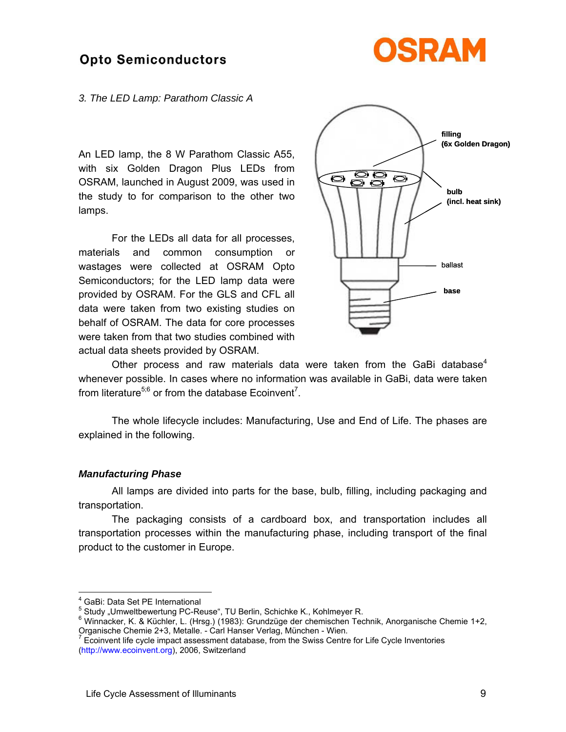

#### *3. The LED Lamp: Parathom Classic A*

An LED lamp, the 8 W Parathom Classic A55, with six Golden Dragon Plus LEDs from OSRAM, launched in August 2009, was used in the study to for comparison to the other two lamps.

 For the LEDs all data for all processes, materials and common consumption or wastages were collected at OSRAM Opto Semiconductors; for the LED lamp data were provided by OSRAM. For the GLS and CFL all data were taken from two existing studies on behalf of OSRAM. The data for core processes were taken from that two studies combined with actual data sheets provided by OSRAM.



Other process and raw materials data were taken from the GaBi database<sup>4</sup> whenever possible. In cases where no information was available in GaBi, data were taken from literature<sup>5;6</sup> or from the database Ecoinvent<sup>7</sup>.

 The whole lifecycle includes: Manufacturing, Use and End of Life. The phases are explained in the following.

#### *Manufacturing Phase*

 All lamps are divided into parts for the base, bulb, filling, including packaging and transportation.

 The packaging consists of a cardboard box, and transportation includes all transportation processes within the manufacturing phase, including transport of the final product to the customer in Europe.

1

<sup>4</sup> GaBi: Data Set PE International

 $<sup>5</sup>$  Study "Umweltbewertung PC-Reuse", TU Berlin, Schichke K., Kohlmeyer R.</sup>

<sup>&</sup>lt;sup>6</sup> Winnacker, K. & Küchler, L. (Hrsg.) (1983): Grundzüge der chemischen Technik, Anorganische Chemie 1+2, Organische Chemie 2+3, Metalle. - Carl Hanser Verlag, München - Wien.<br>7 Easip van life avele impact assessment database, from the Swiss Contra

Ecoinvent life cycle impact assessment database, from the Swiss Centre for Life Cycle Inventories (http://www.ecoinvent.org), 2006, Switzerland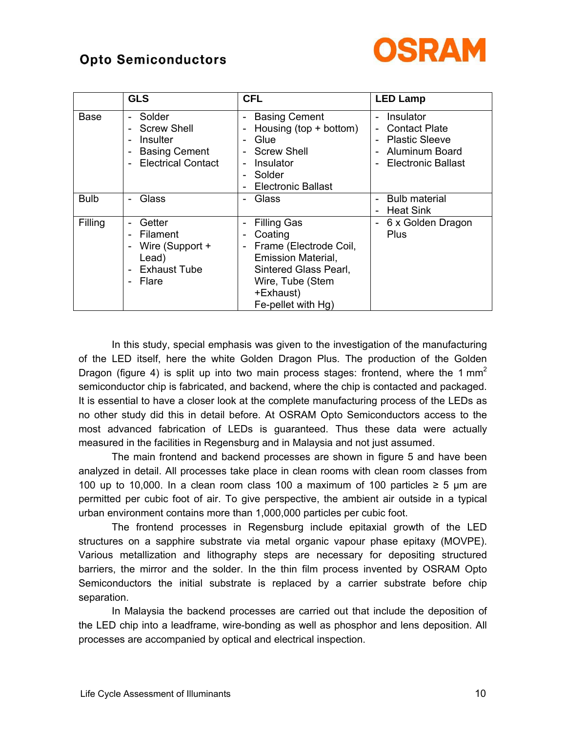

|             | <b>GLS</b>                                                                                         | <b>CFL</b>                                                                                                                                                              | <b>LED Lamp</b>                                                                                    |
|-------------|----------------------------------------------------------------------------------------------------|-------------------------------------------------------------------------------------------------------------------------------------------------------------------------|----------------------------------------------------------------------------------------------------|
| Base        | Solder<br><b>Screw Shell</b><br>Insulter<br><b>Basing Cement</b><br><b>Electrical Contact</b><br>۰ | <b>Basing Cement</b><br>-<br>Housing $(top + bottom)$<br>Glue<br>۰<br><b>Screw Shell</b><br>Insulator<br>-<br>Solder<br>-<br>Electronic Ballast<br>۰                    | Insulator<br><b>Contact Plate</b><br><b>Plastic Sleeve</b><br>Aluminum Board<br>Electronic Ballast |
| <b>Bulb</b> | Glass                                                                                              | Glass<br>-                                                                                                                                                              | <b>Bulb material</b><br><b>Heat Sink</b>                                                           |
| Filling     | Getter<br>Filament<br>Wire (Support +<br>Lead)<br><b>Exhaust Tube</b><br>Flare                     | <b>Filling Gas</b><br>Coating<br>-<br>Frame (Electrode Coil,<br>-<br>Emission Material,<br>Sintered Glass Pearl,<br>Wire, Tube (Stem<br>+Exhaust)<br>Fe-pellet with Hg) | 6 x Golden Dragon<br>Plus                                                                          |

 In this study, special emphasis was given to the investigation of the manufacturing of the LED itself, here the white Golden Dragon Plus. The production of the Golden Dragon (figure 4) is split up into two main process stages: frontend, where the 1  $mm<sup>2</sup>$ semiconductor chip is fabricated, and backend, where the chip is contacted and packaged. It is essential to have a closer look at the complete manufacturing process of the LEDs as no other study did this in detail before. At OSRAM Opto Semiconductors access to the most advanced fabrication of LEDs is guaranteed. Thus these data were actually measured in the facilities in Regensburg and in Malaysia and not just assumed.

 The main frontend and backend processes are shown in figure 5 and have been analyzed in detail. All processes take place in clean rooms with clean room classes from 100 up to 10,000. In a clean room class 100 a maximum of 100 particles ≥ 5 µm are permitted per cubic foot of air. To give perspective, the ambient air outside in a typical urban environment contains more than 1,000,000 particles per cubic foot.

 The frontend processes in Regensburg include epitaxial growth of the LED structures on a sapphire substrate via metal organic vapour phase epitaxy (MOVPE). Various metallization and lithography steps are necessary for depositing structured barriers, the mirror and the solder. In the thin film process invented by OSRAM Opto Semiconductors the initial substrate is replaced by a carrier substrate before chip separation.

 In Malaysia the backend processes are carried out that include the deposition of the LED chip into a leadframe, wire-bonding as well as phosphor and lens deposition. All processes are accompanied by optical and electrical inspection.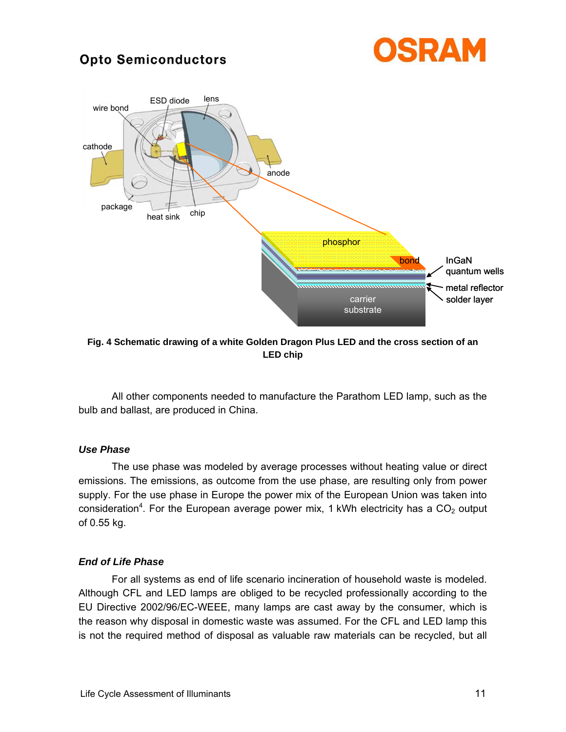



**Fig. 4 Schematic drawing of a white Golden Dragon Plus LED and the cross section of an LED chip** 

 All other components needed to manufacture the Parathom LED lamp, such as the bulb and ballast, are produced in China.

#### *Use Phase*

 The use phase was modeled by average processes without heating value or direct emissions. The emissions, as outcome from the use phase, are resulting only from power supply. For the use phase in Europe the power mix of the European Union was taken into consideration<sup>4</sup>. For the European average power mix, 1 kWh electricity has a  $CO<sub>2</sub>$  output of 0.55 kg.

#### *End of Life Phase*

 For all systems as end of life scenario incineration of household waste is modeled. Although CFL and LED lamps are obliged to be recycled professionally according to the EU Directive 2002/96/EC-WEEE, many lamps are cast away by the consumer, which is the reason why disposal in domestic waste was assumed. For the CFL and LED lamp this is not the required method of disposal as valuable raw materials can be recycled, but all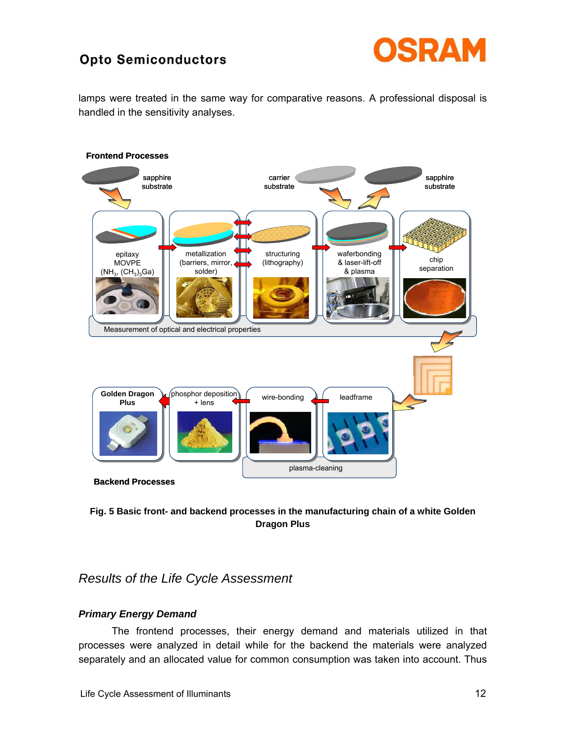

lamps were treated in the same way for comparative reasons. A professional disposal is handled in the sensitivity analyses.



### **Fig. 5 Basic front- and backend processes in the manufacturing chain of a white Golden Dragon Plus**

*Results of the Life Cycle Assessment* 

### *Primary Energy Demand*

 The frontend processes, their energy demand and materials utilized in that processes were analyzed in detail while for the backend the materials were analyzed separately and an allocated value for common consumption was taken into account. Thus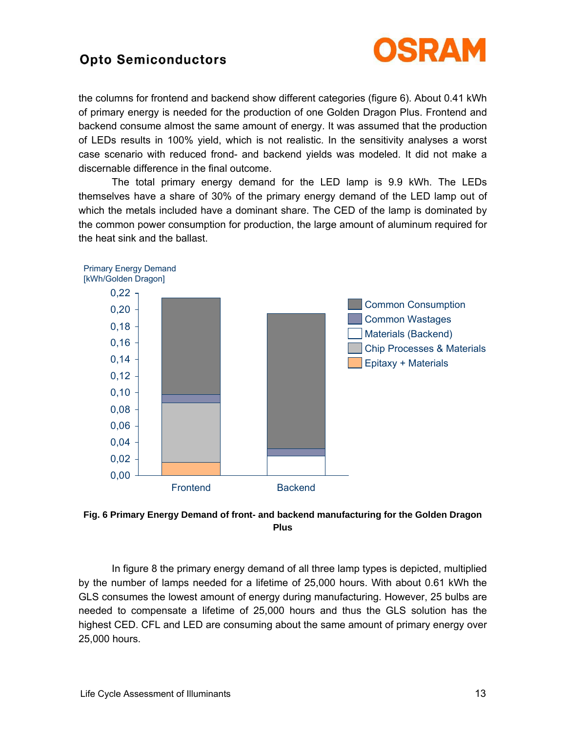

the columns for frontend and backend show different categories (figure 6). About 0.41 kWh of primary energy is needed for the production of one Golden Dragon Plus. Frontend and backend consume almost the same amount of energy. It was assumed that the production of LEDs results in 100% yield, which is not realistic. In the sensitivity analyses a worst case scenario with reduced frond- and backend yields was modeled. It did not make a discernable difference in the final outcome.

 The total primary energy demand for the LED lamp is 9.9 kWh. The LEDs themselves have a share of 30% of the primary energy demand of the LED lamp out of which the metals included have a dominant share. The CED of the lamp is dominated by the common power consumption for production, the large amount of aluminum required for the heat sink and the ballast.





 In figure 8 the primary energy demand of all three lamp types is depicted, multiplied by the number of lamps needed for a lifetime of 25,000 hours. With about 0.61 kWh the GLS consumes the lowest amount of energy during manufacturing. However, 25 bulbs are needed to compensate a lifetime of 25,000 hours and thus the GLS solution has the highest CED. CFL and LED are consuming about the same amount of primary energy over 25,000 hours.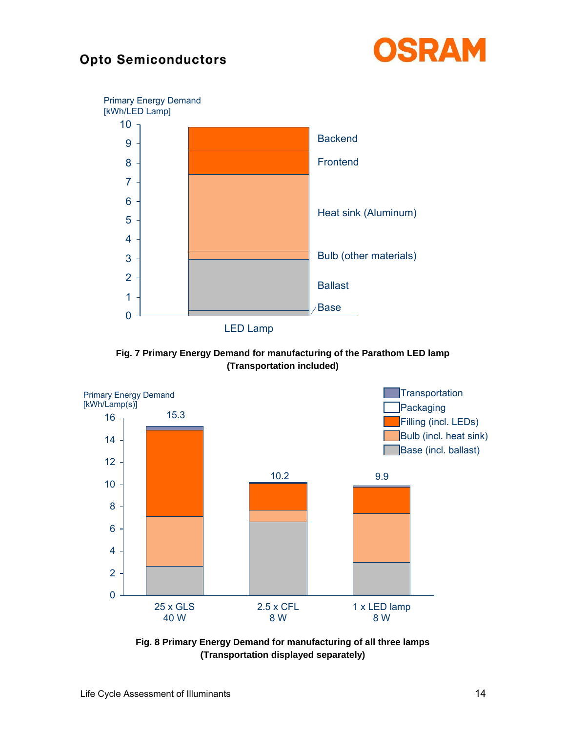



**Fig. 7 Primary Energy Demand for manufacturing of the Parathom LED lamp (Transportation included)** 



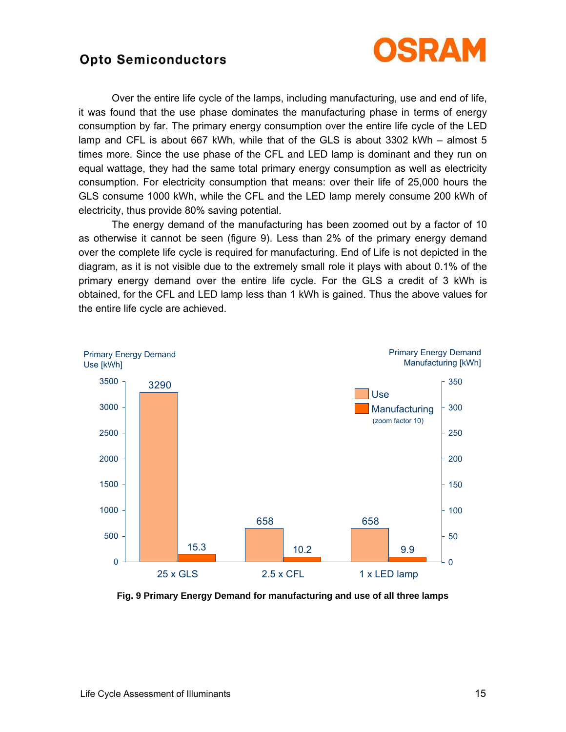

 Over the entire life cycle of the lamps, including manufacturing, use and end of life, it was found that the use phase dominates the manufacturing phase in terms of energy consumption by far. The primary energy consumption over the entire life cycle of the LED lamp and CFL is about 667 kWh, while that of the GLS is about 3302 kWh  $-$  almost 5 times more. Since the use phase of the CFL and LED lamp is dominant and they run on equal wattage, they had the same total primary energy consumption as well as electricity consumption. For electricity consumption that means: over their life of 25,000 hours the GLS consume 1000 kWh, while the CFL and the LED lamp merely consume 200 kWh of electricity, thus provide 80% saving potential.

 The energy demand of the manufacturing has been zoomed out by a factor of 10 as otherwise it cannot be seen (figure 9). Less than 2% of the primary energy demand over the complete life cycle is required for manufacturing. End of Life is not depicted in the diagram, as it is not visible due to the extremely small role it plays with about 0.1% of the primary energy demand over the entire life cycle. For the GLS a credit of 3 kWh is obtained, for the CFL and LED lamp less than 1 kWh is gained. Thus the above values for the entire life cycle are achieved.



**Fig. 9 Primary Energy Demand for manufacturing and use of all three lamps**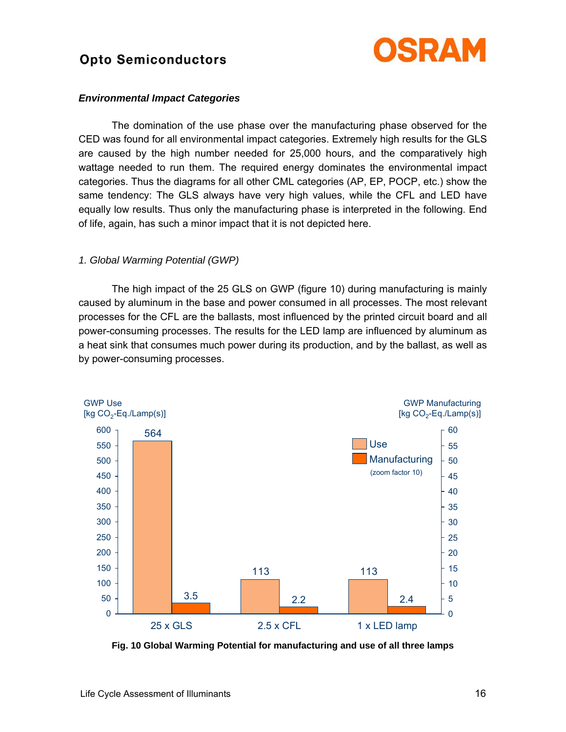

#### *Environmental Impact Categories*

 The domination of the use phase over the manufacturing phase observed for the CED was found for all environmental impact categories. Extremely high results for the GLS are caused by the high number needed for 25,000 hours, and the comparatively high wattage needed to run them. The required energy dominates the environmental impact categories. Thus the diagrams for all other CML categories (AP, EP, POCP, etc.) show the same tendency: The GLS always have very high values, while the CFL and LED have equally low results. Thus only the manufacturing phase is interpreted in the following. End of life, again, has such a minor impact that it is not depicted here.

#### *1. Global Warming Potential (GWP)*

 The high impact of the 25 GLS on GWP (figure 10) during manufacturing is mainly caused by aluminum in the base and power consumed in all processes. The most relevant processes for the CFL are the ballasts, most influenced by the printed circuit board and all power-consuming processes. The results for the LED lamp are influenced by aluminum as a heat sink that consumes much power during its production, and by the ballast, as well as by power-consuming processes.



**Fig. 10 Global Warming Potential for manufacturing and use of all three lamps**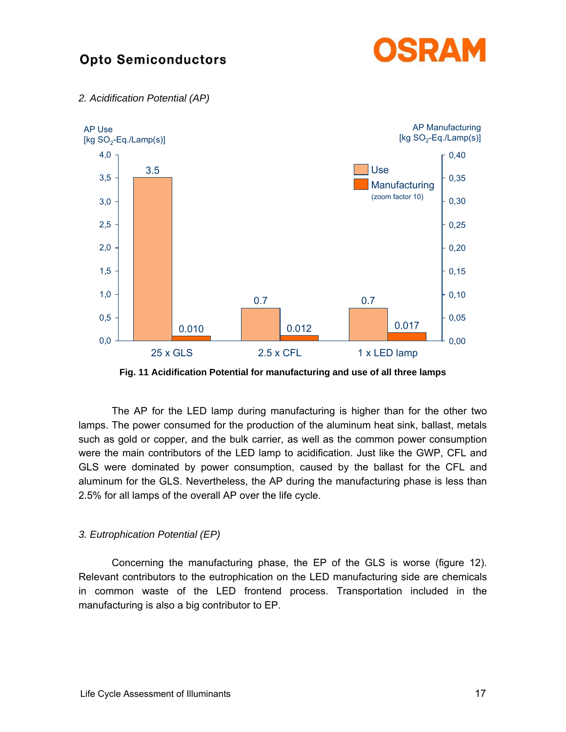





**Fig. 11 Acidification Potential for manufacturing and use of all three lamps** 

 The AP for the LED lamp during manufacturing is higher than for the other two lamps. The power consumed for the production of the aluminum heat sink, ballast, metals such as gold or copper, and the bulk carrier, as well as the common power consumption were the main contributors of the LED lamp to acidification. Just like the GWP, CFL and GLS were dominated by power consumption, caused by the ballast for the CFL and aluminum for the GLS. Nevertheless, the AP during the manufacturing phase is less than 2.5% for all lamps of the overall AP over the life cycle.

### *3. Eutrophication Potential (EP)*

 Concerning the manufacturing phase, the EP of the GLS is worse (figure 12). Relevant contributors to the eutrophication on the LED manufacturing side are chemicals in common waste of the LED frontend process. Transportation included in the manufacturing is also a big contributor to EP.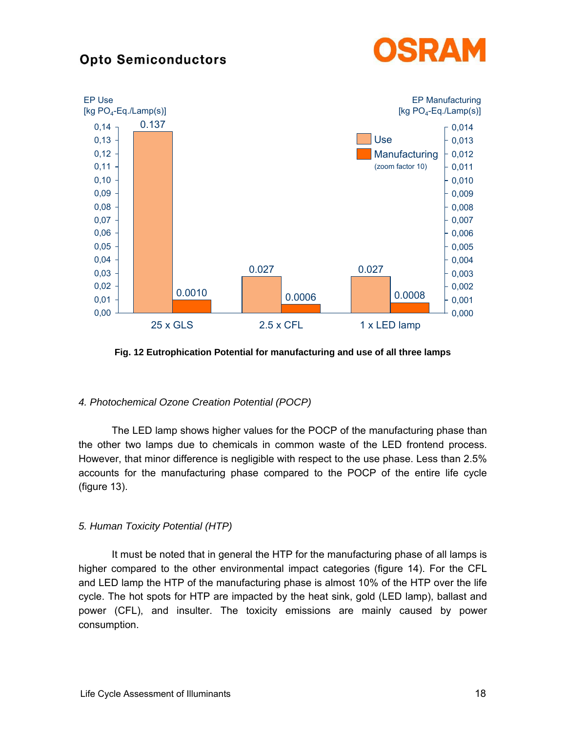



**Fig. 12 Eutrophication Potential for manufacturing and use of all three lamps** 

### *4. Photochemical Ozone Creation Potential (POCP)*

 The LED lamp shows higher values for the POCP of the manufacturing phase than the other two lamps due to chemicals in common waste of the LED frontend process. However, that minor difference is negligible with respect to the use phase. Less than 2.5% accounts for the manufacturing phase compared to the POCP of the entire life cycle (figure 13).

### *5. Human Toxicity Potential (HTP)*

 It must be noted that in general the HTP for the manufacturing phase of all lamps is higher compared to the other environmental impact categories (figure 14). For the CFL and LED lamp the HTP of the manufacturing phase is almost 10% of the HTP over the life cycle. The hot spots for HTP are impacted by the heat sink, gold (LED lamp), ballast and power (CFL), and insulter. The toxicity emissions are mainly caused by power consumption.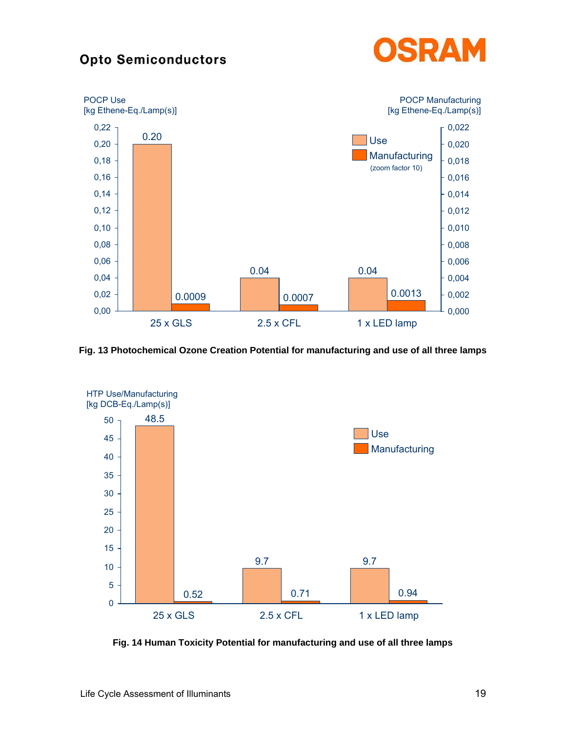



**Fig. 13 Photochemical Ozone Creation Potential for manufacturing and use of all three lamps** 



**Fig. 14 Human Toxicity Potential for manufacturing and use of all three lamps**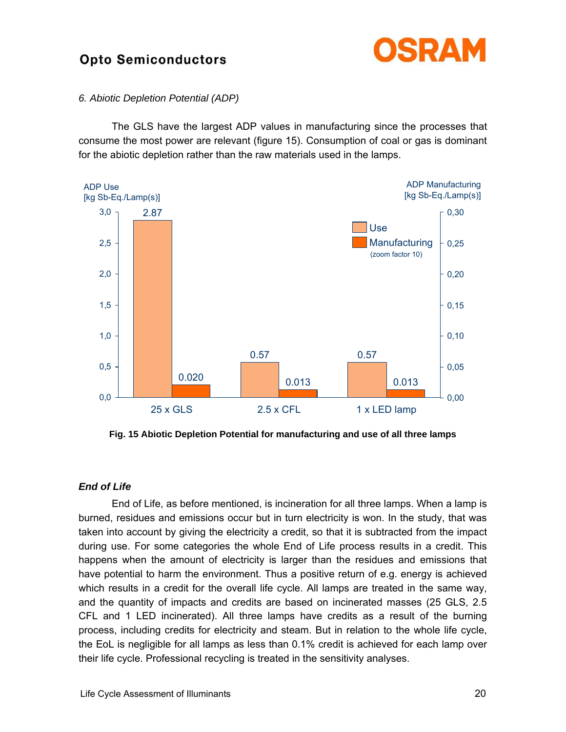

#### *6. Abiotic Depletion Potential (ADP)*

 The GLS have the largest ADP values in manufacturing since the processes that consume the most power are relevant (figure 15). Consumption of coal or gas is dominant for the abiotic depletion rather than the raw materials used in the lamps.



**Fig. 15 Abiotic Depletion Potential for manufacturing and use of all three lamps** 

### *End of Life*

End of Life, as before mentioned, is incineration for all three lamps. When a lamp is burned, residues and emissions occur but in turn electricity is won. In the study, that was taken into account by giving the electricity a credit, so that it is subtracted from the impact during use. For some categories the whole End of Life process results in a credit. This happens when the amount of electricity is larger than the residues and emissions that have potential to harm the environment. Thus a positive return of e.g. energy is achieved which results in a credit for the overall life cycle. All lamps are treated in the same way, and the quantity of impacts and credits are based on incinerated masses (25 GLS, 2.5 CFL and 1 LED incinerated). All three lamps have credits as a result of the burning process, including credits for electricity and steam. But in relation to the whole life cycle, the EoL is negligible for all lamps as less than 0.1% credit is achieved for each lamp over their life cycle. Professional recycling is treated in the sensitivity analyses.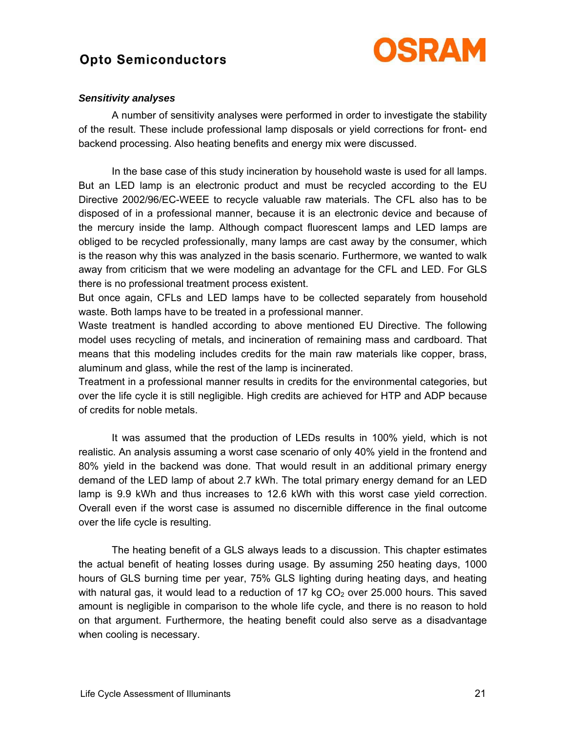

#### *Sensitivity analyses*

 A number of sensitivity analyses were performed in order to investigate the stability of the result. These include professional lamp disposals or yield corrections for front- end backend processing. Also heating benefits and energy mix were discussed.

 In the base case of this study incineration by household waste is used for all lamps. But an LED lamp is an electronic product and must be recycled according to the EU Directive 2002/96/EC-WEEE to recycle valuable raw materials. The CFL also has to be disposed of in a professional manner, because it is an electronic device and because of the mercury inside the lamp. Although compact fluorescent lamps and LED lamps are obliged to be recycled professionally, many lamps are cast away by the consumer, which is the reason why this was analyzed in the basis scenario. Furthermore, we wanted to walk away from criticism that we were modeling an advantage for the CFL and LED. For GLS there is no professional treatment process existent.

But once again, CFLs and LED lamps have to be collected separately from household waste. Both lamps have to be treated in a professional manner.

Waste treatment is handled according to above mentioned EU Directive. The following model uses recycling of metals, and incineration of remaining mass and cardboard. That means that this modeling includes credits for the main raw materials like copper, brass, aluminum and glass, while the rest of the lamp is incinerated.

Treatment in a professional manner results in credits for the environmental categories, but over the life cycle it is still negligible. High credits are achieved for HTP and ADP because of credits for noble metals.

 It was assumed that the production of LEDs results in 100% yield, which is not realistic. An analysis assuming a worst case scenario of only 40% yield in the frontend and 80% yield in the backend was done. That would result in an additional primary energy demand of the LED lamp of about 2.7 kWh. The total primary energy demand for an LED lamp is 9.9 kWh and thus increases to 12.6 kWh with this worst case yield correction. Overall even if the worst case is assumed no discernible difference in the final outcome over the life cycle is resulting.

 The heating benefit of a GLS always leads to a discussion. This chapter estimates the actual benefit of heating losses during usage. By assuming 250 heating days, 1000 hours of GLS burning time per year, 75% GLS lighting during heating days, and heating with natural gas, it would lead to a reduction of 17 kg  $CO<sub>2</sub>$  over 25.000 hours. This saved amount is negligible in comparison to the whole life cycle, and there is no reason to hold on that argument. Furthermore, the heating benefit could also serve as a disadvantage when cooling is necessary.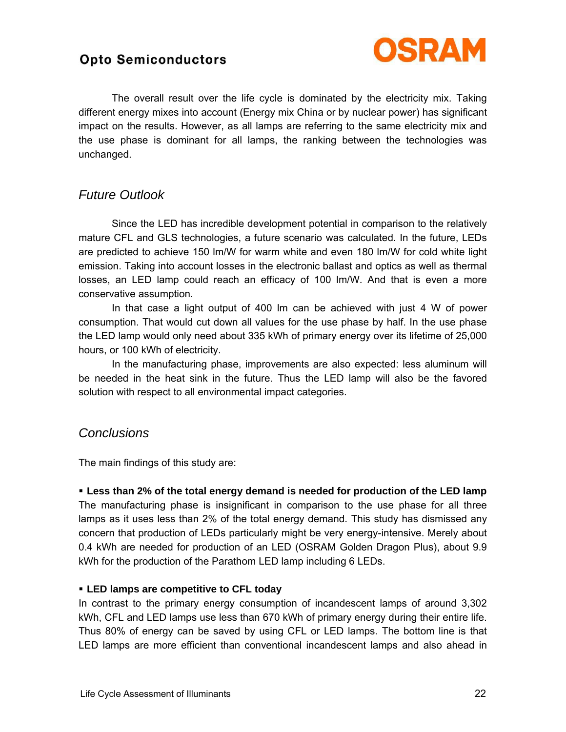

 The overall result over the life cycle is dominated by the electricity mix. Taking different energy mixes into account (Energy mix China or by nuclear power) has significant impact on the results. However, as all lamps are referring to the same electricity mix and the use phase is dominant for all lamps, the ranking between the technologies was unchanged.

### *Future Outlook*

 Since the LED has incredible development potential in comparison to the relatively mature CFL and GLS technologies, a future scenario was calculated. In the future, LEDs are predicted to achieve 150 lm/W for warm white and even 180 lm/W for cold white light emission. Taking into account losses in the electronic ballast and optics as well as thermal losses, an LED lamp could reach an efficacy of 100 lm/W. And that is even a more conservative assumption.

 In that case a light output of 400 lm can be achieved with just 4 W of power consumption. That would cut down all values for the use phase by half. In the use phase the LED lamp would only need about 335 kWh of primary energy over its lifetime of 25,000 hours, or 100 kWh of electricity.

 In the manufacturing phase, improvements are also expected: less aluminum will be needed in the heat sink in the future. Thus the LED lamp will also be the favored solution with respect to all environmental impact categories.

### *Conclusions*

The main findings of this study are:

! **Less than 2% of the total energy demand is needed for production of the LED lamp**  The manufacturing phase is insignificant in comparison to the use phase for all three lamps as it uses less than 2% of the total energy demand. This study has dismissed any concern that production of LEDs particularly might be very energy-intensive. Merely about 0.4 kWh are needed for production of an LED (OSRAM Golden Dragon Plus), about 9.9 kWh for the production of the Parathom LED lamp including 6 LEDs.

### ! **LED lamps are competitive to CFL today**

In contrast to the primary energy consumption of incandescent lamps of around 3,302 kWh, CFL and LED lamps use less than 670 kWh of primary energy during their entire life. Thus 80% of energy can be saved by using CFL or LED lamps. The bottom line is that LED lamps are more efficient than conventional incandescent lamps and also ahead in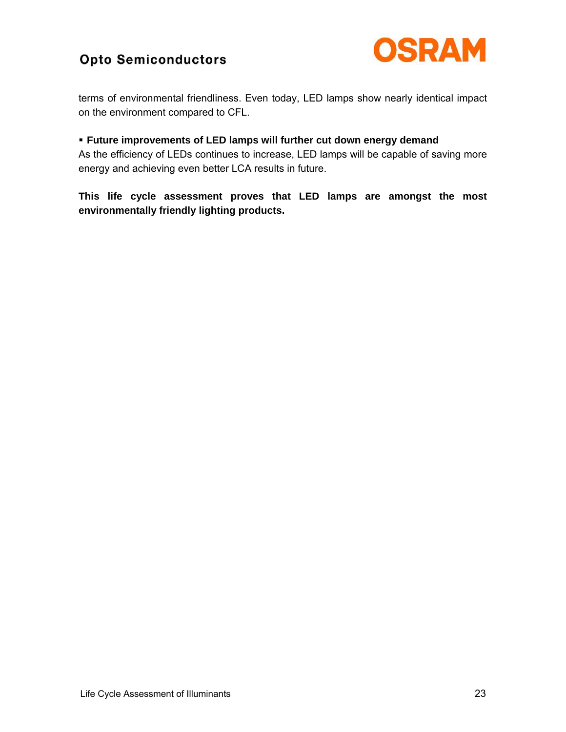

terms of environmental friendliness. Even today, LED lamps show nearly identical impact on the environment compared to CFL.

### ! **Future improvements of LED lamps will further cut down energy demand**

As the efficiency of LEDs continues to increase, LED lamps will be capable of saving more energy and achieving even better LCA results in future.

**This life cycle assessment proves that LED lamps are amongst the most environmentally friendly lighting products.**